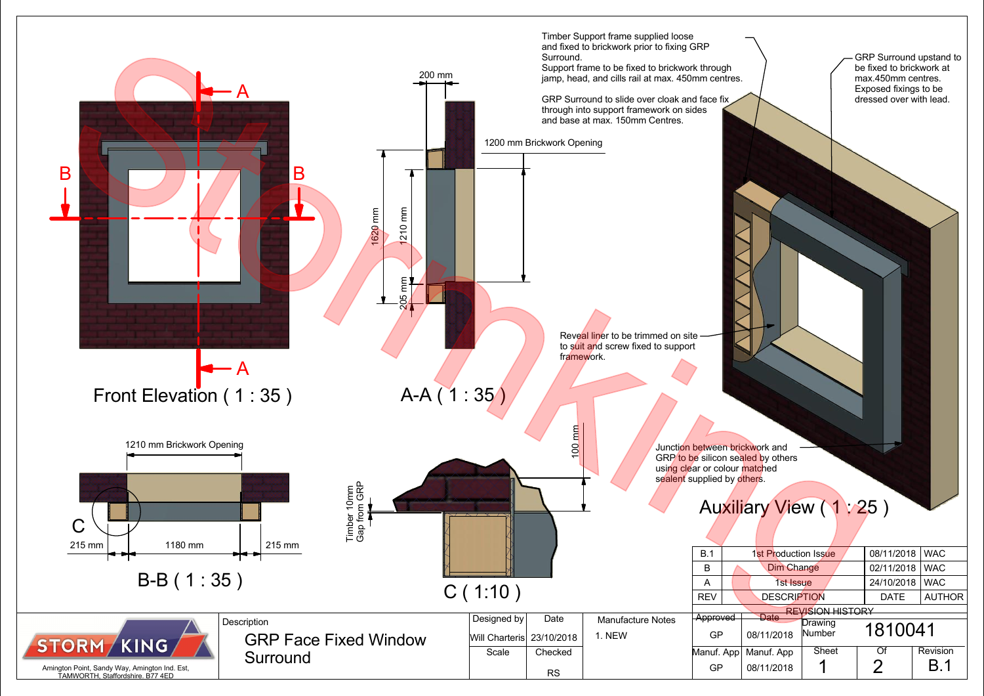